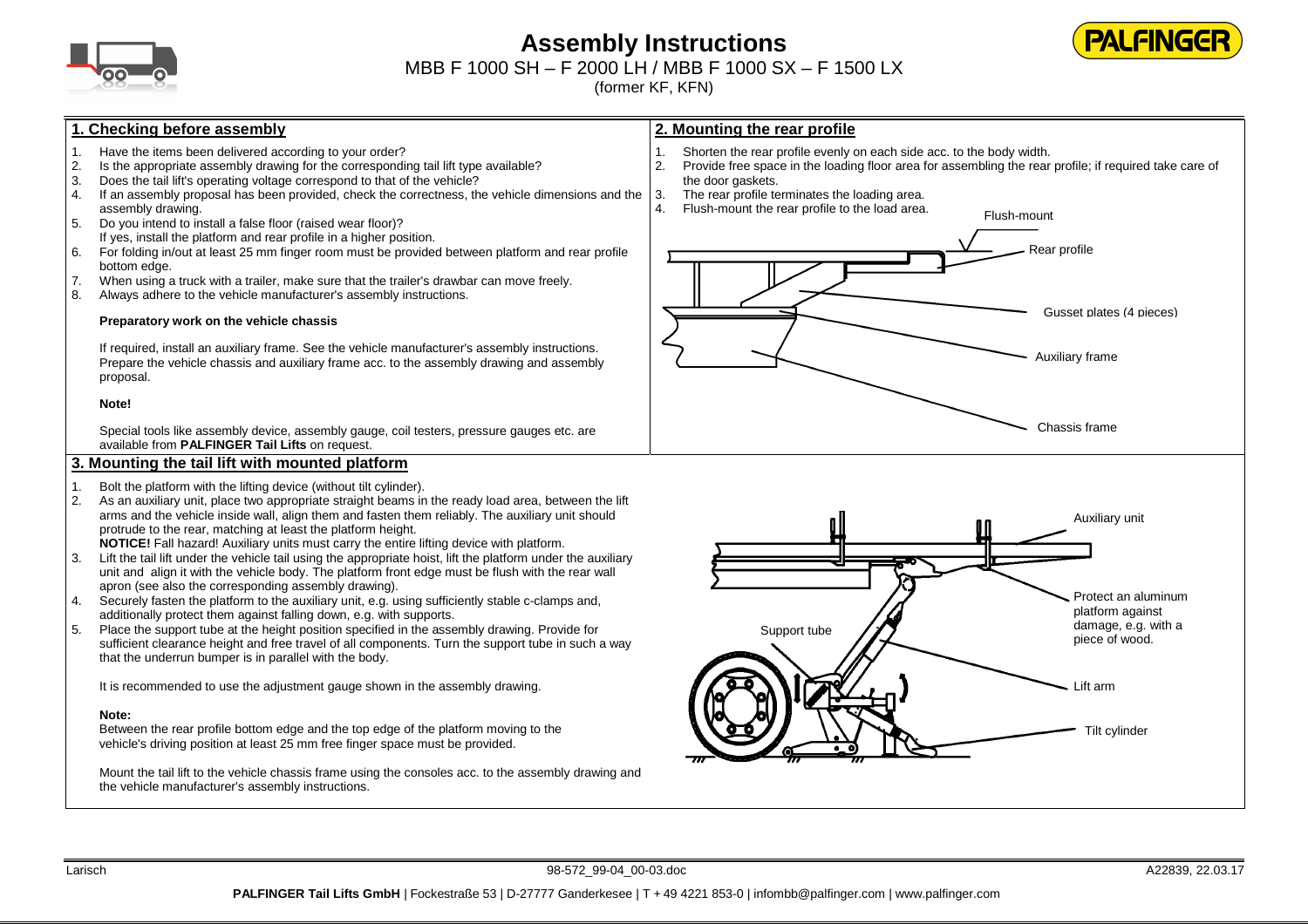

# **Assembly Instructions**



MBB F 1000 SH – F 2000 LH / MBB F 1000 SX – F 1500 LX

(former KF, KFN)

# **1. Checking before assembly**

- Have the items been delivered according to your order?
- 2. Is the appropriate assembly drawing for the corresponding tail lift type available?
- 3. Does the tail lift's operating voltage correspond to that of the vehicle?<br>4. If an assembly proposal has been provided, check the correctness, the
- 4. If an assembly proposal has been provided, check the correctness, the vehicle dimensions and the assembly drawing.
- 5. Do you intend to install a false floor (raised wear floor)? If yes, install the platform and rear profile in a higher position.
- 6. For folding in/out at least 25 mm finger room must be provided between platform and rear profile bottom edge.
- 7. When using a truck with a trailer, make sure that the trailer's drawbar can move freely.
- 8. Always adhere to the vehicle manufacturer's assembly instructions.

#### **Preparatory work on the vehicle chassis**

If required, install an auxiliary frame. See the vehicle manufacturer's assembly instructions. Prepare the vehicle chassis and auxiliary frame acc. to the assembly drawing and assembly proposal.

#### **Note!**

Special tools like assembly device, assembly gauge, coil testers, pressure gauges etc. are available from **PALFINGER Tail Lifts** on request.

## **3. Mounting the tail lift with mounted platform**

- 1. Bolt the platform with the lifting device (without tilt cylinder).
- 2. As an auxiliary unit, place two appropriate straight beams in the ready load area, between the liftarms and the vehicle inside wall, align them and fasten them reliably. The auxiliary unit should protrude to the rear, matching at least the platform height.
	- **NOTICE!** Fall hazard! Auxiliary units must carry the entire lifting device with platform.
- 3. Lift the tail lift under the vehicle tail using the appropriate hoist, lift the platform under the auxiliary unit and align it with the vehicle body. The platform front edge must be flush with the rear wall apron (see also the corresponding assembly drawing).
- 4. Securely fasten the platform to the auxiliary unit, e.g. using sufficiently stable c-clamps and, additionally protect them against falling down, e.g. with supports.
- 5. Place the support tube at the height position specified in the assembly drawing. Provide for sufficient clearance height and free travel of all components. Turn the support tube in such a way that the underrun bumper is in parallel with the body.

It is recommended to use the adjustment gauge shown in the assembly drawing.

### **Note:**

 Between the rear profile bottom edge and the top edge of the platform moving to the vehicle's driving position at least 25 mm free finger space must be provided.

Mount the tail lift to the vehicle chassis frame using the consoles acc. to the assembly drawing and the vehicle manufacturer's assembly instructions.



- 1. Shorten the rear profile evenly on each side acc. to the body width.<br>2. Provide free space in the loading floor area for assembling the rear
- 2. Provide free space in the loading floor area for assembling the rear profile; if required take care of the door gaskets.
- 3. The rear profile terminates the loading area.
- 4. Flush-mount the rear profile to the load area.